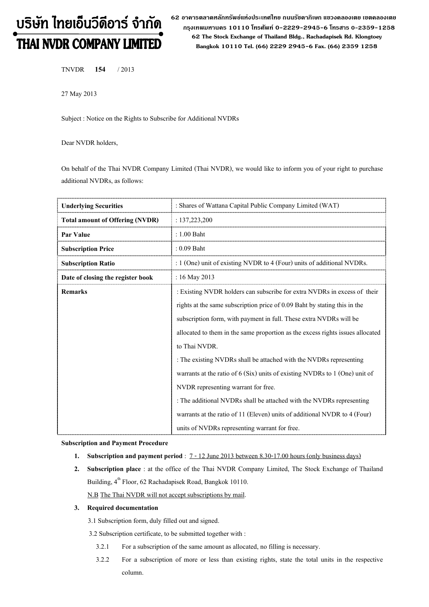# บริษัท ไทยเอ็นวีดีอาร์ จำกัด THAI NVDR COMPANY LIMITED

62 อาดารตลาดหลักทรัพย์แห่งประเทศไทย ถนนรัซดาภิเษก แขวงดลองเตย เขตดลองเตย กรุงเทพมหานดร 10110 โทรศัพท์ 0-2229-2945-6 โทรสาร 0-2359-1258 62 The Stock Exchange of Thailand Bldg., Rachadapisek Rd. Klongtoey Bangkok 10110 Tel. (66) 2229 2945-6 Fax. (66) 2359 1258

TNVDR 154 / 2013

27 May 2013

Subject : Notice on the Rights to Subscribe for Additional NVDRs

Dear NVDR holders,

On behalf of the Thai NVDR Company Limited (Thai NVDR), we would like to inform you of your right to purchase additional NVDRs, as follows:

| <b>Underlying Securities</b>           | : Shares of Wattana Capital Public Company Limited (WAT)                       |
|----------------------------------------|--------------------------------------------------------------------------------|
| <b>Total amount of Offering (NVDR)</b> | : 137,223,200                                                                  |
| Par Value                              | $: 1.00$ Baht                                                                  |
| <b>Subscription Price</b>              | $: 0.09$ Baht                                                                  |
| <b>Subscription Ratio</b>              | : 1 (One) unit of existing NVDR to 4 (Four) units of additional NVDRs.         |
| Date of closing the register book      | : 16 May 2013                                                                  |
| <b>Remarks</b>                         | : Existing NVDR holders can subscribe for extra NVDRs in excess of their       |
|                                        | rights at the same subscription price of 0.09 Baht by stating this in the      |
|                                        | subscription form, with payment in full. These extra NVDRs will be             |
|                                        | allocated to them in the same proportion as the excess rights issues allocated |
|                                        | to Thai NVDR.                                                                  |
|                                        | : The existing NVDRs shall be attached with the NVDRs representing             |
|                                        | warrants at the ratio of $6$ (Six) units of existing NVDRs to 1 (One) unit of  |
|                                        | NVDR representing warrant for free.                                            |
|                                        | : The additional NVDRs shall be attached with the NVDRs representing           |
|                                        | warrants at the ratio of 11 (Eleven) units of additional NVDR to 4 (Four)      |
|                                        | units of NVDRs representing warrant for free.                                  |

Subscription and Payment Procedure

- 1. Subscription and payment period :  $7 12$  June 2013 between 8.30-17.00 hours (only business days)
- 2. Subscription place : at the office of the Thai NVDR Company Limited, The Stock Exchange of Thailand Building, 4<sup>th</sup> Floor, 62 Rachadapisek Road, Bangkok 10110. N.B The Thai NVDR will not accept subscriptions by mail.

## 3. Required documentation

3.1 Subscription form, duly filled out and signed.

3.2 Subscription certificate, to be submitted together with :

- 3.2.1 For a subscription of the same amount as allocated, no filling is necessary.
- 3.2.2 For a subscription of more or less than existing rights, state the total units in the respective column.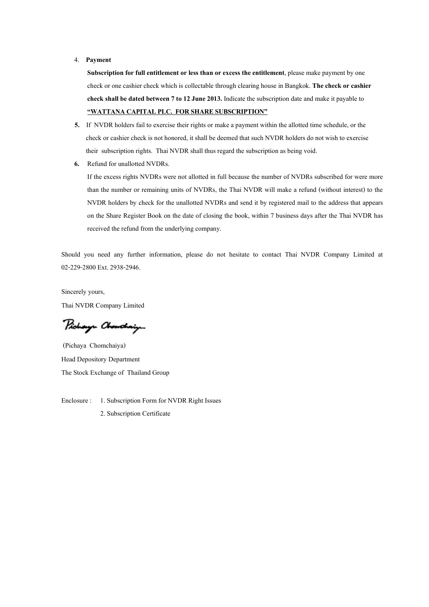#### 4. Payment

Subscription for full entitlement or less than or excess the entitlement, please make payment by one check or one cashier check which is collectable through clearing house in Bangkok. The check or cashier check shall be dated between 7 to 12 June 2013. Indicate the subscription date and make it payable to "WATTANA CAPITAL PLC. FOR SHARE SUBSCRIPTION"

- 5. If NVDR holders fail to exercise their rights or make a payment within the allotted time schedule, or the check or cashier check is not honored, it shall be deemed that such NVDR holders do not wish to exercise their subscription rights. Thai NVDR shall thus regard the subscription as being void.
- 6. Refund for unallotted NVDRs.

If the excess rights NVDRs were not allotted in full because the number of NVDRs subscribed for were more than the number or remaining units of NVDRs, the Thai NVDR will make a refund (without interest) to the NVDR holders by check for the unallotted NVDRs and send it by registered mail to the address that appears on the Share Register Book on the date of closing the book, within 7 business days after the Thai NVDR has received the refund from the underlying company.

Should you need any further information, please do not hesitate to contact Thai NVDR Company Limited at 02-229-2800 Ext. 2938-2946.

Sincerely yours, Thai NVDR Company Limited

Pichaya Chanchaig

 (Pichaya Chomchaiya) Head Depository Department The Stock Exchange of Thailand Group

Enclosure : 1. Subscription Form for NVDR Right Issues 2. Subscription Certificate